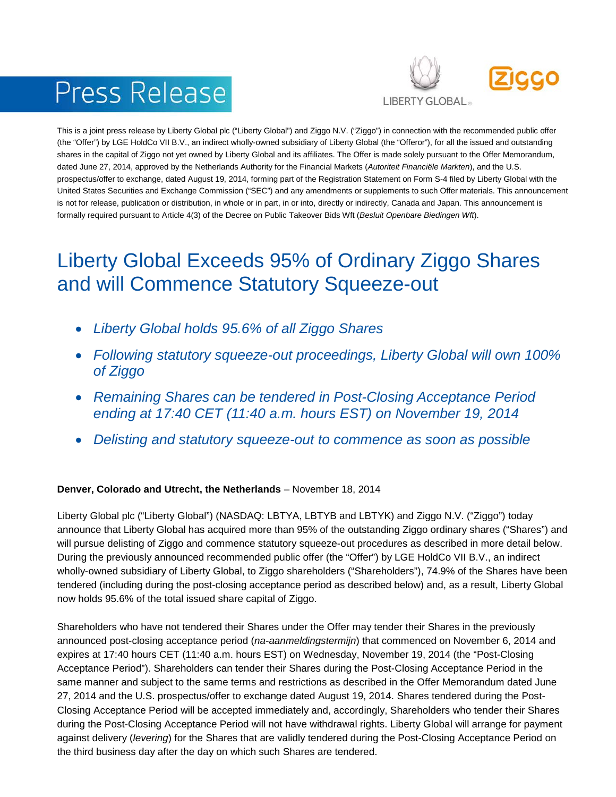# **Press Release**



This is a joint press release by Liberty Global plc ("Liberty Global") and Ziggo N.V. ("Ziggo") in connection with the recommended public offer (the "Offer") by LGE HoldCo VII B.V., an indirect wholly-owned subsidiary of Liberty Global (the "Offeror"), for all the issued and outstanding shares in the capital of Ziggo not yet owned by Liberty Global and its affiliates. The Offer is made solely pursuant to the Offer Memorandum, dated June 27, 2014, approved by the Netherlands Authority for the Financial Markets (*Autoriteit Financiële Markten*), and the U.S. prospectus/offer to exchange, dated August 19, 2014, forming part of the Registration Statement on Form S-4 filed by Liberty Global with the United States Securities and Exchange Commission ("SEC") and any amendments or supplements to such Offer materials. This announcement is not for release, publication or distribution, in whole or in part, in or into, directly or indirectly, Canada and Japan. This announcement is formally required pursuant to Article 4(3) of the Decree on Public Takeover Bids Wft (*Besluit Openbare Biedingen Wft*).

## Liberty Global Exceeds 95% of Ordinary Ziggo Shares and will Commence Statutory Squeeze-out

- *Liberty Global holds 95.6% of all Ziggo Shares*
- *Following statutory squeeze-out proceedings, Liberty Global will own 100% of Ziggo*
- *Remaining Shares can be tendered in Post-Closing Acceptance Period ending at 17:40 CET (11:40 a.m. hours EST) on November 19, 2014*
- *Delisting and statutory squeeze-out to commence as soon as possible*

#### **Denver, Colorado and Utrecht, the Netherlands** – November 18, 2014

Liberty Global plc ("Liberty Global") (NASDAQ: LBTYA, LBTYB and LBTYK) and Ziggo N.V. ("Ziggo") today announce that Liberty Global has acquired more than 95% of the outstanding Ziggo ordinary shares ("Shares") and will pursue delisting of Ziggo and commence statutory squeeze-out procedures as described in more detail below. During the previously announced recommended public offer (the "Offer") by LGE HoldCo VII B.V., an indirect wholly-owned subsidiary of Liberty Global, to Ziggo shareholders ("Shareholders"), 74.9% of the Shares have been tendered (including during the post-closing acceptance period as described below) and, as a result, Liberty Global now holds 95.6% of the total issued share capital of Ziggo.

Shareholders who have not tendered their Shares under the Offer may tender their Shares in the previously announced post-closing acceptance period (*na-aanmeldingstermijn*) that commenced on November 6, 2014 and expires at 17:40 hours CET (11:40 a.m. hours EST) on Wednesday, November 19, 2014 (the "Post-Closing Acceptance Period"). Shareholders can tender their Shares during the Post-Closing Acceptance Period in the same manner and subject to the same terms and restrictions as described in the Offer Memorandum dated June 27, 2014 and the U.S. prospectus/offer to exchange dated August 19, 2014. Shares tendered during the Post-Closing Acceptance Period will be accepted immediately and, accordingly, Shareholders who tender their Shares during the Post-Closing Acceptance Period will not have withdrawal rights. Liberty Global will arrange for payment against delivery (*levering*) for the Shares that are validly tendered during the Post-Closing Acceptance Period on the third business day after the day on which such Shares are tendered.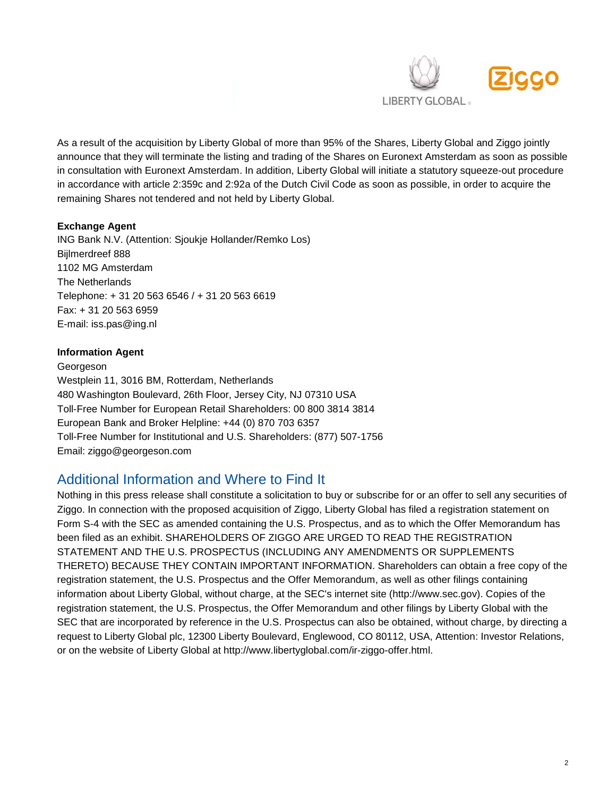

As a result of the acquisition by Liberty Global of more than 95% of the Shares, Liberty Global and Ziggo jointly announce that they will terminate the listing and trading of the Shares on Euronext Amsterdam as soon as possible in consultation with Euronext Amsterdam. In addition, Liberty Global will initiate a statutory squeeze-out procedure in accordance with article 2:359c and 2:92a of the Dutch Civil Code as soon as possible, in order to acquire the remaining Shares not tendered and not held by Liberty Global.

#### **Exchange Agent**

ING Bank N.V. (Attention: Sjoukje Hollander/Remko Los) Bijlmerdreef 888 1102 MG Amsterdam The Netherlands Telephone: + 31 20 563 6546 / + 31 20 563 6619 Fax: + 31 20 563 6959 E-mail: iss.pas@ing.nl

#### **Information Agent**

Georgeson Westplein 11, 3016 BM, Rotterdam, Netherlands 480 Washington Boulevard, 26th Floor, Jersey City, NJ 07310 USA Toll-Free Number for European Retail Shareholders: 00 800 3814 3814 European Bank and Broker Helpline: +44 (0) 870 703 6357 Toll-Free Number for Institutional and U.S. Shareholders: (877) 507-1756 Email: ziggo@georgeson.com

### Additional Information and Where to Find It

Nothing in this press release shall constitute a solicitation to buy or subscribe for or an offer to sell any securities of Ziggo. In connection with the proposed acquisition of Ziggo, Liberty Global has filed a registration statement on Form S-4 with the SEC as amended containing the U.S. Prospectus, and as to which the Offer Memorandum has been filed as an exhibit. SHAREHOLDERS OF ZIGGO ARE URGED TO READ THE REGISTRATION STATEMENT AND THE U.S. PROSPECTUS (INCLUDING ANY AMENDMENTS OR SUPPLEMENTS THERETO) BECAUSE THEY CONTAIN IMPORTANT INFORMATION. Shareholders can obtain a free copy of the registration statement, the U.S. Prospectus and the Offer Memorandum, as well as other filings containing information about Liberty Global, without charge, at the SEC's internet site (http://www.sec.gov). Copies of the registration statement, the U.S. Prospectus, the Offer Memorandum and other filings by Liberty Global with the SEC that are incorporated by reference in the U.S. Prospectus can also be obtained, without charge, by directing a request to Liberty Global plc, 12300 Liberty Boulevard, Englewood, CO 80112, USA, Attention: Investor Relations, or on the website of Liberty Global at http://www.libertyglobal.com/ir-ziggo-offer.html.